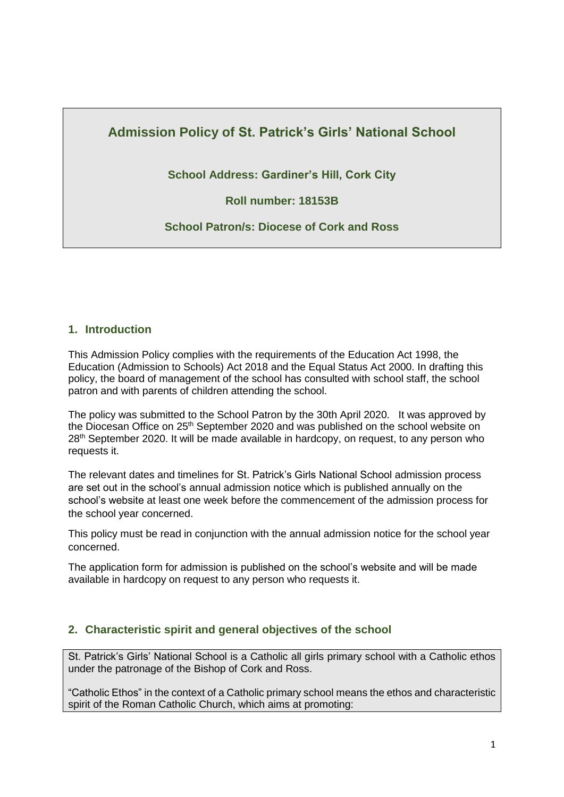# **Admission Policy of St. Patrick's Girls' National School**

**School Address: Gardiner's Hill, Cork City**

**Roll number: 18153B**

**School Patron/s: Diocese of Cork and Ross**

### **1. Introduction**

This Admission Policy complies with the requirements of the Education Act 1998, the Education (Admission to Schools) Act 2018 and the Equal Status Act 2000. In drafting this policy, the board of management of the school has consulted with school staff, the school patron and with parents of children attending the school.

The policy was submitted to the School Patron by the 30th April 2020. It was approved by the Diocesan Office on 25<sup>th</sup> September 2020 and was published on the school website on  $28<sup>th</sup>$  September 2020. It will be made available in hardcopy, on request, to any person who requests it.

The relevant dates and timelines for St. Patrick's Girls National School admission process are set out in the school's annual admission notice which is published annually on the school's website at least one week before the commencement of the admission process for the school year concerned.

This policy must be read in conjunction with the annual admission notice for the school year concerned.

The application form for admission is published on the school's website and will be made available in hardcopy on request to any person who requests it.

### **2. Characteristic spirit and general objectives of the school**

St. Patrick's Girls' National School is a Catholic all girls primary school with a Catholic ethos under the patronage of the Bishop of Cork and Ross.

"Catholic Ethos" in the context of a Catholic primary school means the ethos and characteristic spirit of the Roman Catholic Church, which aims at promoting: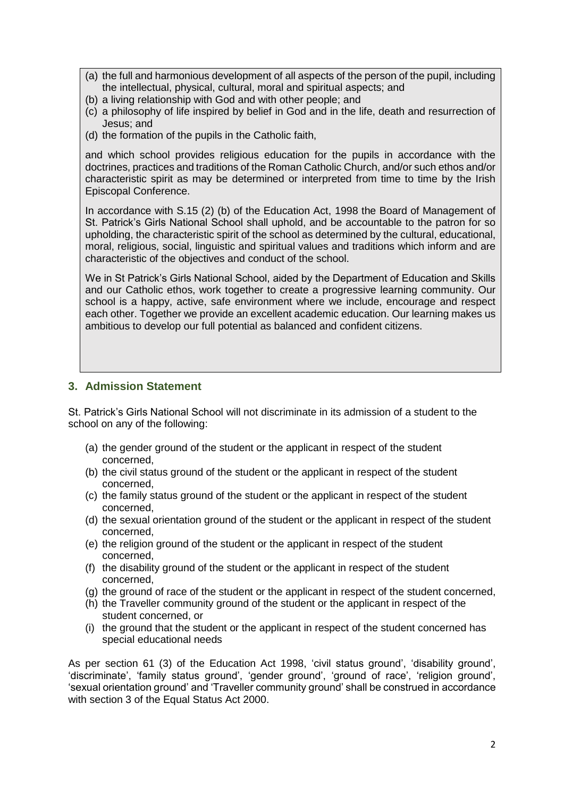- (a) the full and harmonious development of all aspects of the person of the pupil, including the intellectual, physical, cultural, moral and spiritual aspects; and
- (b) a living relationship with God and with other people; and
- (c) a philosophy of life inspired by belief in God and in the life, death and resurrection of Jesus; and
- (d) the formation of the pupils in the Catholic faith,

and which school provides religious education for the pupils in accordance with the doctrines, practices and traditions of the Roman Catholic Church, and/or such ethos and/or characteristic spirit as may be determined or interpreted from time to time by the Irish Episcopal Conference.

In accordance with S.15 (2) (b) of the Education Act, 1998 the Board of Management of St. Patrick's Girls National School shall uphold, and be accountable to the patron for so upholding, the characteristic spirit of the school as determined by the cultural, educational, moral, religious, social, linguistic and spiritual values and traditions which inform and are characteristic of the objectives and conduct of the school.

We in St Patrick's Girls National School, aided by the Department of Education and Skills and our Catholic ethos, work together to create a progressive learning community. Our school is a happy, active, safe environment where we include, encourage and respect each other. Together we provide an excellent academic education. Our learning makes us ambitious to develop our full potential as balanced and confident citizens.

### **3. Admission Statement**

St. Patrick's Girls National School will not discriminate in its admission of a student to the school on any of the following:

- (a) the gender ground of the student or the applicant in respect of the student concerned,
- (b) the civil status ground of the student or the applicant in respect of the student concerned,
- (c) the family status ground of the student or the applicant in respect of the student concerned,
- (d) the sexual orientation ground of the student or the applicant in respect of the student concerned,
- (e) the religion ground of the student or the applicant in respect of the student concerned,
- (f) the disability ground of the student or the applicant in respect of the student concerned,
- (g) the ground of race of the student or the applicant in respect of the student concerned,
- (h) the Traveller community ground of the student or the applicant in respect of the student concerned, or
- (i) the ground that the student or the applicant in respect of the student concerned has special educational needs

As per section 61 (3) of the Education Act 1998, 'civil status ground', 'disability ground', 'discriminate', 'family status ground', 'gender ground', 'ground of race', 'religion ground', 'sexual orientation ground' and 'Traveller community ground' shall be construed in accordance with section 3 of the Equal Status Act 2000.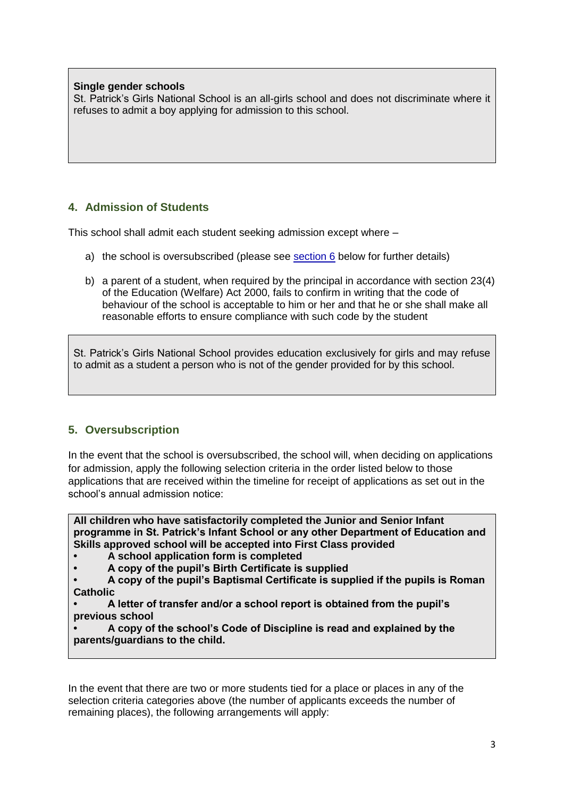### **Single gender schools**

St. Patrick's Girls National School is an all-girls school and does not discriminate where it refuses to admit a boy applying for admission to this school.

# **4. Admission of Students**

This school shall admit each student seeking admission except where –

- a) the school is oversubscribed (please see [section 6](#page-2-0) below for further details)
- b) a parent of a student, when required by the principal in accordance with section 23(4) of the Education (Welfare) Act 2000, fails to confirm in writing that the code of behaviour of the school is acceptable to him or her and that he or she shall make all reasonable efforts to ensure compliance with such code by the student

St. Patrick's Girls National School provides education exclusively for girls and may refuse to admit as a student a person who is not of the gender provided for by this school.

# <span id="page-2-0"></span>**5. Oversubscription**

In the event that the school is oversubscribed, the school will, when deciding on applications for admission, apply the following selection criteria in the order listed below to those applications that are received within the timeline for receipt of applications as set out in the school's annual admission notice:

**All children who have satisfactorily completed the Junior and Senior Infant programme in St. Patrick's Infant School or any other Department of Education and Skills approved school will be accepted into First Class provided** 

- **• A school application form is completed**
- **• A copy of the pupil's Birth Certificate is supplied**
- **• A copy of the pupil's Baptismal Certificate is supplied if the pupils is Roman Catholic**

**• A letter of transfer and/or a school report is obtained from the pupil's previous school**

**• A copy of the school's Code of Discipline is read and explained by the parents/guardians to the child.** 

In the event that there are two or more students tied for a place or places in any of the selection criteria categories above (the number of applicants exceeds the number of remaining places), the following arrangements will apply: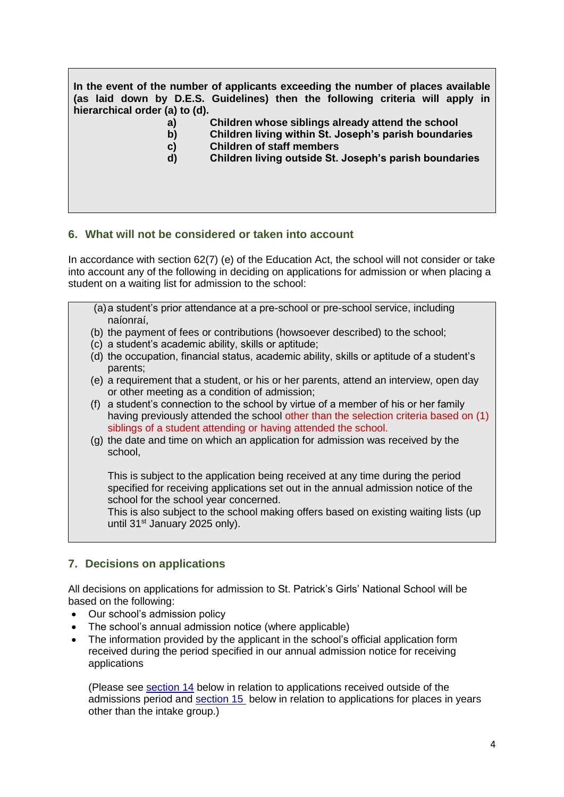**In the event of the number of applicants exceeding the number of places available (as laid down by D.E.S. Guidelines) then the following criteria will apply in hierarchical order (a) to (d).** 

- **a) Children whose siblings already attend the school**
- **b) Children living within St. Joseph's parish boundaries**
- **c) Children of staff members**
- **d) Children living outside St. Joseph's parish boundaries**

#### **6. What will not be considered or taken into account**

In accordance with section 62(7) (e) of the Education Act, the school will not consider or take into account any of the following in deciding on applications for admission or when placing a student on a waiting list for admission to the school:

- (a)a student's prior attendance at a pre-school or pre-school service, including naíonraí,
- (b) the payment of fees or contributions (howsoever described) to the school;
- (c) a student's academic ability, skills or aptitude;
- (d) the occupation, financial status, academic ability, skills or aptitude of a student's parents;
- (e) a requirement that a student, or his or her parents, attend an interview, open day or other meeting as a condition of admission;
- (f) a student's connection to the school by virtue of a member of his or her family having previously attended the school other than the selection criteria based on (1) siblings of a student attending or having attended the school.
- (g) the date and time on which an application for admission was received by the school,

This is subject to the application being received at any time during the period specified for receiving applications set out in the annual admission notice of the school for the school year concerned.

This is also subject to the school making offers based on existing waiting lists (up until 31st January 2025 only).

### **7. Decisions on applications**

All decisions on applications for admission to St. Patrick's Girls' National School will be based on the following:

- Our school's admission policy
- The school's annual admission notice (where applicable)
- The information provided by the applicant in the school's official application form received during the period specified in our annual admission notice for receiving applications

(Please see [section 14](#page-5-0) below in relation to applications received outside of the admissions period and [section 15](#page-6-0) below in relation to applications for places in years other than the intake group.)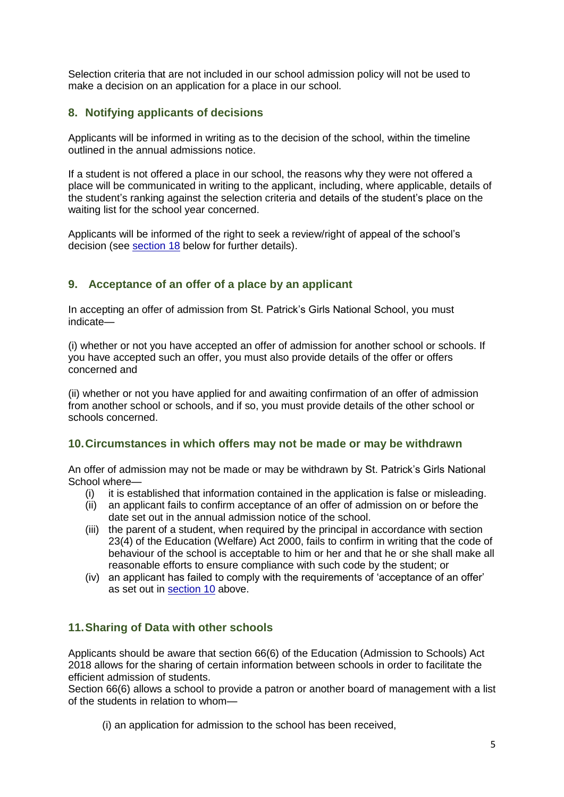Selection criteria that are not included in our school admission policy will not be used to make a decision on an application for a place in our school.

# **8. Notifying applicants of decisions**

Applicants will be informed in writing as to the decision of the school, within the timeline outlined in the annual admissions notice.

If a student is not offered a place in our school, the reasons why they were not offered a place will be communicated in writing to the applicant, including, where applicable, details of the student's ranking against the selection criteria and details of the student's place on the waiting list for the school year concerned.

Applicants will be informed of the right to seek a review/right of appeal of the school's decision (see [section 18](#page-7-0) below for further details).

### <span id="page-4-0"></span>**9. Acceptance of an offer of a place by an applicant**

In accepting an offer of admission from St. Patrick's Girls National School, you must indicate—

(i) whether or not you have accepted an offer of admission for another school or schools. If you have accepted such an offer, you must also provide details of the offer or offers concerned and

(ii) whether or not you have applied for and awaiting confirmation of an offer of admission from another school or schools, and if so, you must provide details of the other school or schools concerned.

#### **10.Circumstances in which offers may not be made or may be withdrawn**

An offer of admission may not be made or may be withdrawn by St. Patrick's Girls National School where—

- (i) it is established that information contained in the application is false or misleading.
- (ii) an applicant fails to confirm acceptance of an offer of admission on or before the date set out in the annual admission notice of the school.
- (iii) the parent of a student, when required by the principal in accordance with section 23(4) of the Education (Welfare) Act 2000, fails to confirm in writing that the code of behaviour of the school is acceptable to him or her and that he or she shall make all reasonable efforts to ensure compliance with such code by the student; or
- (iv) an applicant has failed to comply with the requirements of 'acceptance of an offer' as set out in [section 10](#page-4-0) above.

### **11.Sharing of Data with other schools**

Applicants should be aware that section 66(6) of the Education (Admission to Schools) Act 2018 allows for the sharing of certain information between schools in order to facilitate the efficient admission of students.

Section 66(6) allows a school to provide a patron or another board of management with a list of the students in relation to whom—

(i) an application for admission to the school has been received,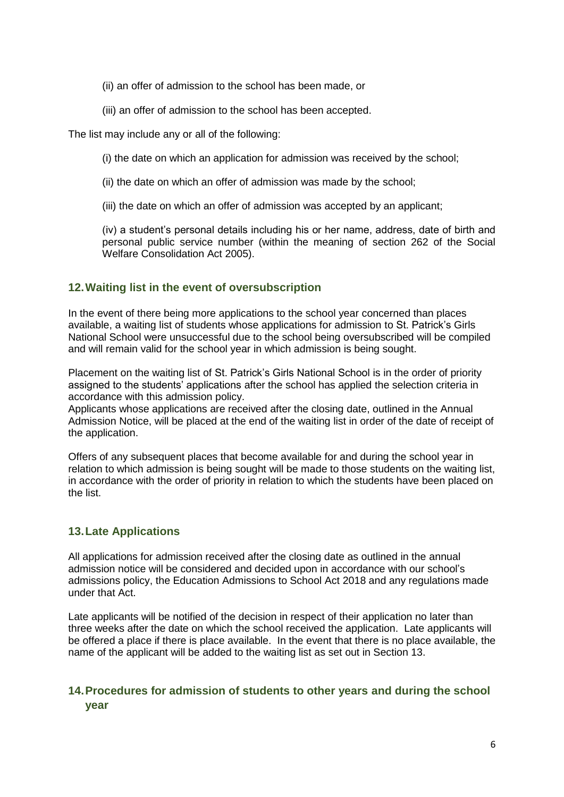- (ii) an offer of admission to the school has been made, or
- (iii) an offer of admission to the school has been accepted.

The list may include any or all of the following:

- (i) the date on which an application for admission was received by the school;
- (ii) the date on which an offer of admission was made by the school;
- (iii) the date on which an offer of admission was accepted by an applicant;

(iv) a student's personal details including his or her name, address, date of birth and personal public service number (within the meaning of section 262 of the Social Welfare Consolidation Act 2005).

# **12.Waiting list in the event of oversubscription**

In the event of there being more applications to the school year concerned than places available, a waiting list of students whose applications for admission to St. Patrick's Girls National School were unsuccessful due to the school being oversubscribed will be compiled and will remain valid for the school year in which admission is being sought.

Placement on the waiting list of St. Patrick's Girls National School is in the order of priority assigned to the students' applications after the school has applied the selection criteria in accordance with this admission policy.

Applicants whose applications are received after the closing date, outlined in the Annual Admission Notice, will be placed at the end of the waiting list in order of the date of receipt of the application.

Offers of any subsequent places that become available for and during the school year in relation to which admission is being sought will be made to those students on the waiting list, in accordance with the order of priority in relation to which the students have been placed on the list.

# **13.Late Applications**

All applications for admission received after the closing date as outlined in the annual admission notice will be considered and decided upon in accordance with our school's admissions policy, the Education Admissions to School Act 2018 and any regulations made under that Act.

Late applicants will be notified of the decision in respect of their application no later than three weeks after the date on which the school received the application. Late applicants will be offered a place if there is place available. In the event that there is no place available, the name of the applicant will be added to the waiting list as set out in Section 13.

# <span id="page-5-0"></span>**14.Procedures for admission of students to other years and during the school year**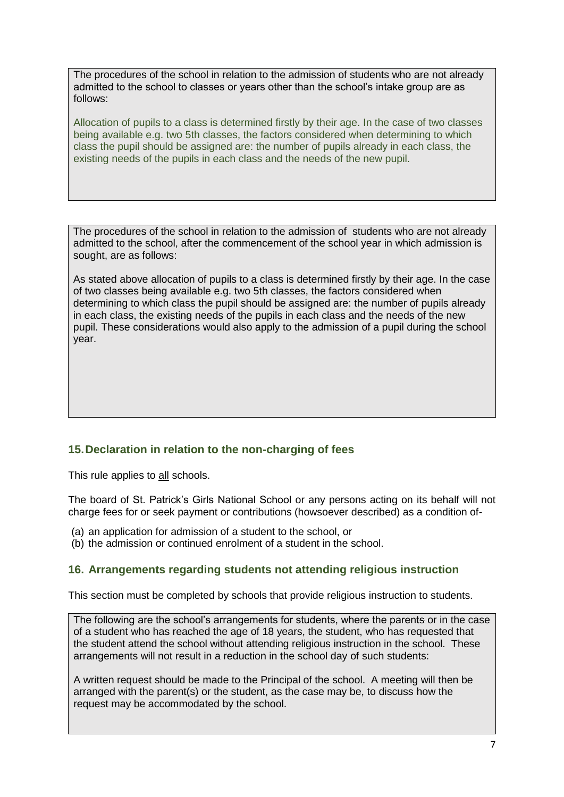The procedures of the school in relation to the admission of students who are not already admitted to the school to classes or years other than the school's intake group are as follows:

Allocation of pupils to a class is determined firstly by their age. In the case of two classes being available e.g. two 5th classes, the factors considered when determining to which class the pupil should be assigned are: the number of pupils already in each class, the existing needs of the pupils in each class and the needs of the new pupil.

The procedures of the school in relation to the admission of students who are not already admitted to the school, after the commencement of the school year in which admission is sought, are as follows:

As stated above allocation of pupils to a class is determined firstly by their age. In the case of two classes being available e.g. two 5th classes, the factors considered when determining to which class the pupil should be assigned are: the number of pupils already in each class, the existing needs of the pupils in each class and the needs of the new pupil. These considerations would also apply to the admission of a pupil during the school year.

# <span id="page-6-0"></span>**15.Declaration in relation to the non-charging of fees**

This rule applies to all schools.

The board of St. Patrick's Girls National School or any persons acting on its behalf will not charge fees for or seek payment or contributions (howsoever described) as a condition of-

- (a) an application for admission of a student to the school, or
- (b) the admission or continued enrolment of a student in the school.

# **16. Arrangements regarding students not attending religious instruction**

This section must be completed by schools that provide religious instruction to students.

The following are the school's arrangements for students, where the parents or in the case of a student who has reached the age of 18 years, the student, who has requested that the student attend the school without attending religious instruction in the school. These arrangements will not result in a reduction in the school day of such students:

A written request should be made to the Principal of the school. A meeting will then be arranged with the parent(s) or the student, as the case may be, to discuss how the request may be accommodated by the school.